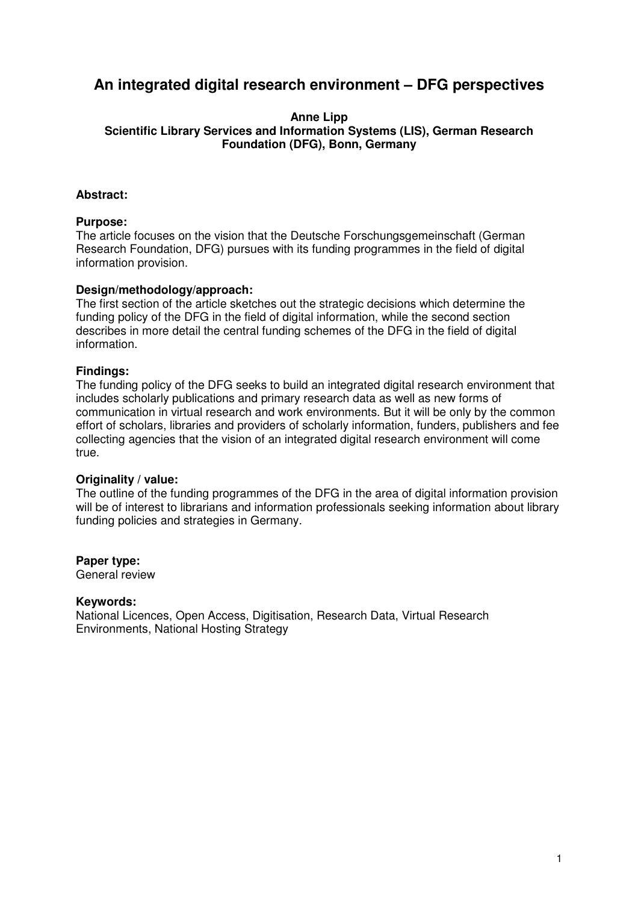# **An integrated digital research environment – DFG perspectives**

#### **Anne Lipp Scientific Library Services and Information Systems (LIS), German Research Foundation (DFG), Bonn, Germany**

## **Abstract:**

#### **Purpose:**

The article focuses on the vision that the Deutsche Forschungsgemeinschaft (German Research Foundation, DFG) pursues with its funding programmes in the field of digital information provision.

#### **Design/methodology/approach:**

The first section of the article sketches out the strategic decisions which determine the funding policy of the DFG in the field of digital information, while the second section describes in more detail the central funding schemes of the DFG in the field of digital information.

#### **Findings:**

The funding policy of the DFG seeks to build an integrated digital research environment that includes scholarly publications and primary research data as well as new forms of communication in virtual research and work environments. But it will be only by the common effort of scholars, libraries and providers of scholarly information, funders, publishers and fee collecting agencies that the vision of an integrated digital research environment will come true.

## **Originality / value:**

The outline of the funding programmes of the DFG in the area of digital information provision will be of interest to librarians and information professionals seeking information about library funding policies and strategies in Germany.

## **Paper type:**

General review

## **Keywords:**

National Licences, Open Access, Digitisation, Research Data, Virtual Research Environments, National Hosting Strategy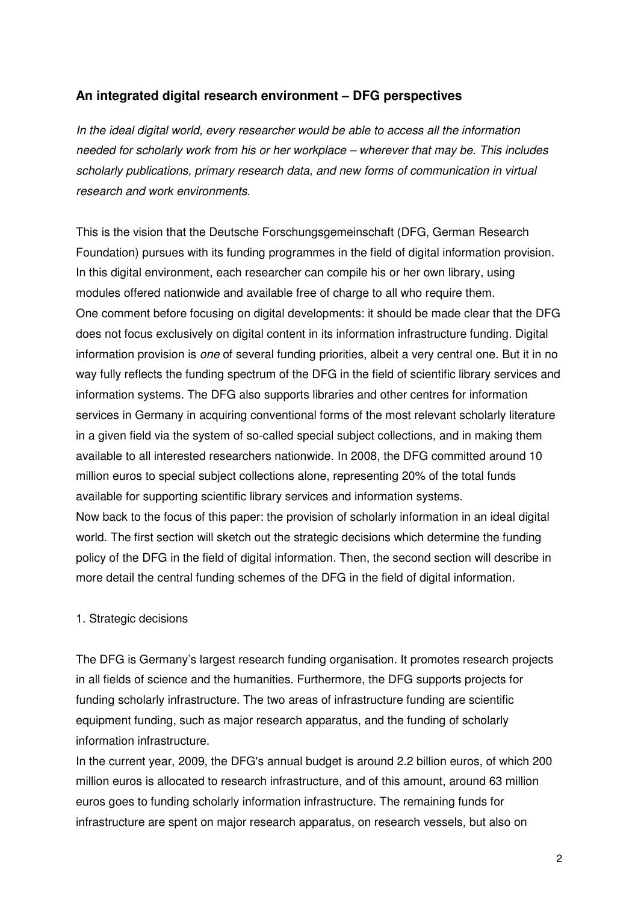## **An integrated digital research environment – DFG perspectives**

In the ideal digital world, every researcher would be able to access all the information needed for scholarly work from his or her workplace – wherever that may be. This includes scholarly publications, primary research data, and new forms of communication in virtual research and work environments.

This is the vision that the Deutsche Forschungsgemeinschaft (DFG, German Research Foundation) pursues with its funding programmes in the field of digital information provision. In this digital environment, each researcher can compile his or her own library, using modules offered nationwide and available free of charge to all who require them. One comment before focusing on digital developments: it should be made clear that the DFG does not focus exclusively on digital content in its information infrastructure funding. Digital information provision is one of several funding priorities, albeit a very central one. But it in no way fully reflects the funding spectrum of the DFG in the field of scientific library services and information systems. The DFG also supports libraries and other centres for information services in Germany in acquiring conventional forms of the most relevant scholarly literature in a given field via the system of so-called special subject collections, and in making them available to all interested researchers nationwide. In 2008, the DFG committed around 10 million euros to special subject collections alone, representing 20% of the total funds available for supporting scientific library services and information systems. Now back to the focus of this paper: the provision of scholarly information in an ideal digital world. The first section will sketch out the strategic decisions which determine the funding policy of the DFG in the field of digital information. Then, the second section will describe in more detail the central funding schemes of the DFG in the field of digital information.

## 1. Strategic decisions

The DFG is Germany's largest research funding organisation. It promotes research projects in all fields of science and the humanities. Furthermore, the DFG supports projects for funding scholarly infrastructure. The two areas of infrastructure funding are scientific equipment funding, such as major research apparatus, and the funding of scholarly information infrastructure.

In the current year, 2009, the DFG's annual budget is around 2.2 billion euros, of which 200 million euros is allocated to research infrastructure, and of this amount, around 63 million euros goes to funding scholarly information infrastructure. The remaining funds for infrastructure are spent on major research apparatus, on research vessels, but also on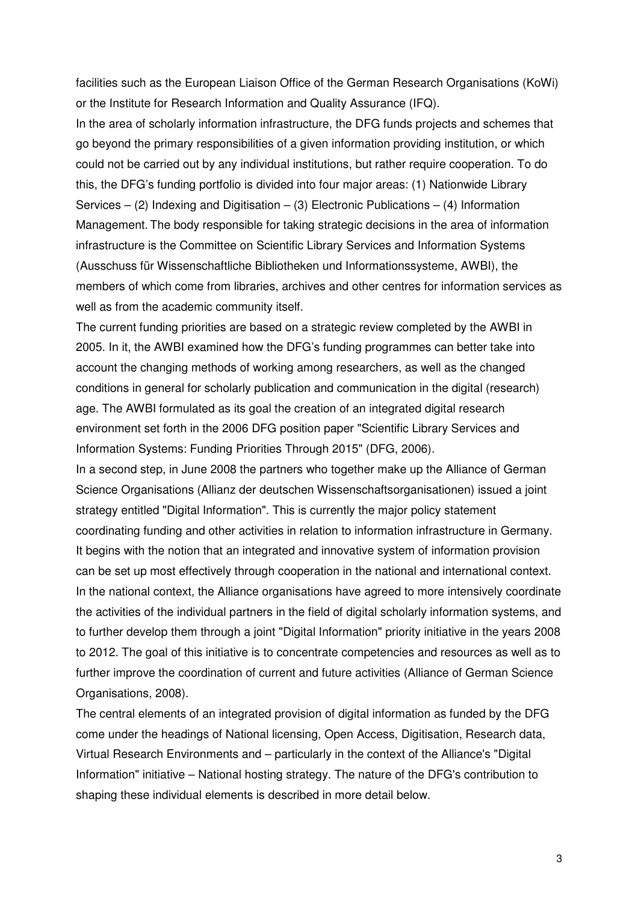facilities such as the European Liaison Office of the German Research Organisations (KoWi) or the Institute for Research Information and Quality Assurance (IFQ).

In the area of scholarly information infrastructure, the DFG funds projects and schemes that go beyond the primary responsibilities of a given information providing institution, or which could not be carried out by any individual institutions, but rather require cooperation. To do this, the DFG's funding portfolio is divided into four major areas: (1) Nationwide Library Services – (2) Indexing and Digitisation – (3) Electronic Publications – (4) Information Management. The body responsible for taking strategic decisions in the area of information infrastructure is the Committee on Scientific Library Services and Information Systems (Ausschuss für Wissenschaftliche Bibliotheken und Informationssysteme, AWBI), the members of which come from libraries, archives and other centres for information services as well as from the academic community itself.

The current funding priorities are based on a strategic review completed by the AWBI in 2005. In it, the AWBI examined how the DFG's funding programmes can better take into account the changing methods of working among researchers, as well as the changed conditions in general for scholarly publication and communication in the digital (research) age. The AWBI formulated as its goal the creation of an integrated digital research environment set forth in the 2006 DFG position paper "Scientific Library Services and Information Systems: Funding Priorities Through 2015" (DFG, 2006).

In a second step, in June 2008 the partners who together make up the Alliance of German Science Organisations (Allianz der deutschen Wissenschaftsorganisationen) issued a joint strategy entitled "Digital Information". This is currently the major policy statement coordinating funding and other activities in relation to information infrastructure in Germany. It begins with the notion that an integrated and innovative system of information provision can be set up most effectively through cooperation in the national and international context. In the national context, the Alliance organisations have agreed to more intensively coordinate the activities of the individual partners in the field of digital scholarly information systems, and to further develop them through a joint "Digital Information" priority initiative in the years 2008 to 2012. The goal of this initiative is to concentrate competencies and resources as well as to further improve the coordination of current and future activities (Alliance of German Science Organisations, 2008).

The central elements of an integrated provision of digital information as funded by the DFG come under the headings of National licensing, Open Access, Digitisation, Research data, Virtual Research Environments and – particularly in the context of the Alliance's "Digital Information" initiative – National hosting strategy. The nature of the DFG's contribution to shaping these individual elements is described in more detail below.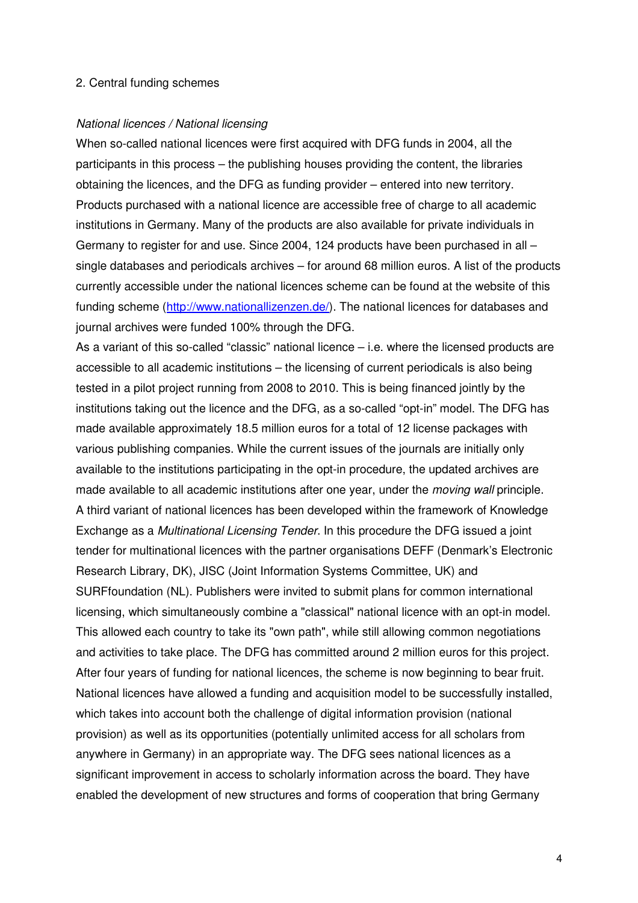#### 2. Central funding schemes

#### National licences / National licensing

When so-called national licences were first acquired with DFG funds in 2004, all the participants in this process – the publishing houses providing the content, the libraries obtaining the licences, and the DFG as funding provider – entered into new territory. Products purchased with a national licence are accessible free of charge to all academic institutions in Germany. Many of the products are also available for private individuals in Germany to register for and use. Since 2004, 124 products have been purchased in all – single databases and periodicals archives – for around 68 million euros. A list of the products currently accessible under the national licences scheme can be found at the website of this funding scheme (http://www.nationallizenzen.de/). The national licences for databases and journal archives were funded 100% through the DFG.

As a variant of this so-called "classic" national licence – i.e. where the licensed products are accessible to all academic institutions – the licensing of current periodicals is also being tested in a pilot project running from 2008 to 2010. This is being financed jointly by the institutions taking out the licence and the DFG, as a so-called "opt-in" model. The DFG has made available approximately 18.5 million euros for a total of 12 license packages with various publishing companies. While the current issues of the journals are initially only available to the institutions participating in the opt-in procedure, the updated archives are made available to all academic institutions after one year, under the moving wall principle. A third variant of national licences has been developed within the framework of Knowledge Exchange as a Multinational Licensing Tender. In this procedure the DFG issued a joint tender for multinational licences with the partner organisations DEFF (Denmark's Electronic Research Library, DK), JISC (Joint Information Systems Committee, UK) and SURFfoundation (NL). Publishers were invited to submit plans for common international licensing, which simultaneously combine a "classical" national licence with an opt-in model. This allowed each country to take its "own path", while still allowing common negotiations and activities to take place. The DFG has committed around 2 million euros for this project. After four years of funding for national licences, the scheme is now beginning to bear fruit. National licences have allowed a funding and acquisition model to be successfully installed, which takes into account both the challenge of digital information provision (national provision) as well as its opportunities (potentially unlimited access for all scholars from anywhere in Germany) in an appropriate way. The DFG sees national licences as a significant improvement in access to scholarly information across the board. They have enabled the development of new structures and forms of cooperation that bring Germany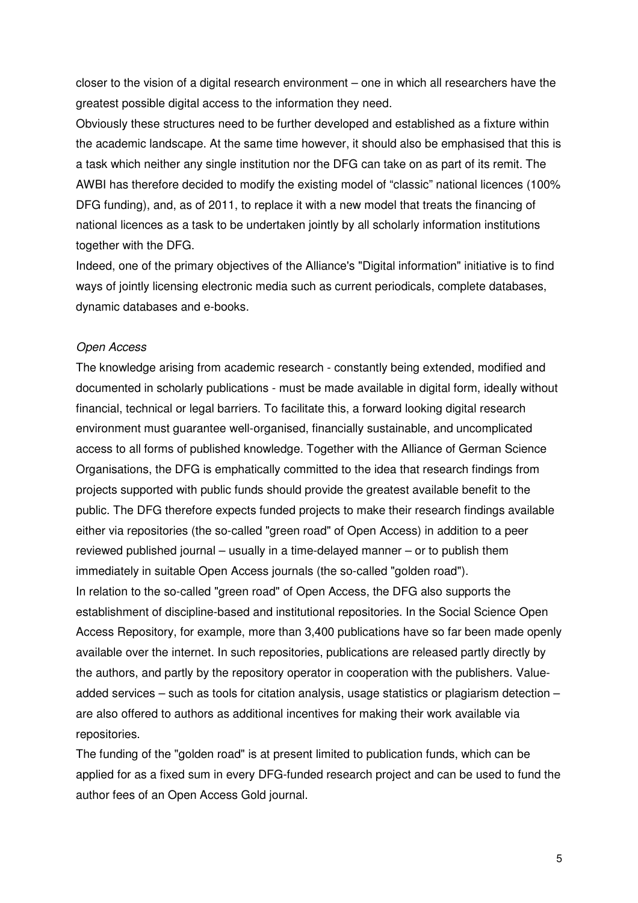closer to the vision of a digital research environment – one in which all researchers have the greatest possible digital access to the information they need.

Obviously these structures need to be further developed and established as a fixture within the academic landscape. At the same time however, it should also be emphasised that this is a task which neither any single institution nor the DFG can take on as part of its remit. The AWBI has therefore decided to modify the existing model of "classic" national licences (100% DFG funding), and, as of 2011, to replace it with a new model that treats the financing of national licences as a task to be undertaken jointly by all scholarly information institutions together with the DFG.

Indeed, one of the primary objectives of the Alliance's "Digital information" initiative is to find ways of jointly licensing electronic media such as current periodicals, complete databases, dynamic databases and e-books.

## Open Access

The knowledge arising from academic research - constantly being extended, modified and documented in scholarly publications - must be made available in digital form, ideally without financial, technical or legal barriers. To facilitate this, a forward looking digital research environment must guarantee well-organised, financially sustainable, and uncomplicated access to all forms of published knowledge. Together with the Alliance of German Science Organisations, the DFG is emphatically committed to the idea that research findings from projects supported with public funds should provide the greatest available benefit to the public. The DFG therefore expects funded projects to make their research findings available either via repositories (the so-called "green road" of Open Access) in addition to a peer reviewed published journal – usually in a time-delayed manner – or to publish them immediately in suitable Open Access journals (the so-called "golden road"). In relation to the so-called "green road" of Open Access, the DFG also supports the establishment of discipline-based and institutional repositories. In the Social Science Open Access Repository, for example, more than 3,400 publications have so far been made openly available over the internet. In such repositories, publications are released partly directly by the authors, and partly by the repository operator in cooperation with the publishers. Valueadded services – such as tools for citation analysis, usage statistics or plagiarism detection – are also offered to authors as additional incentives for making their work available via repositories.

The funding of the "golden road" is at present limited to publication funds, which can be applied for as a fixed sum in every DFG-funded research project and can be used to fund the author fees of an Open Access Gold journal.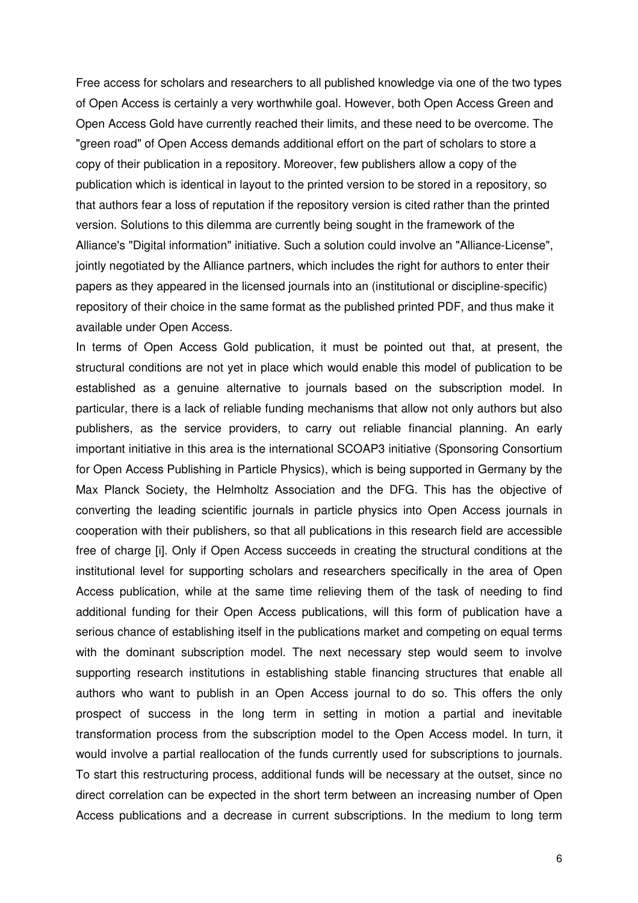Free access for scholars and researchers to all published knowledge via one of the two types of Open Access is certainly a very worthwhile goal. However, both Open Access Green and Open Access Gold have currently reached their limits, and these need to be overcome. The "green road" of Open Access demands additional effort on the part of scholars to store a copy of their publication in a repository. Moreover, few publishers allow a copy of the publication which is identical in layout to the printed version to be stored in a repository, so that authors fear a loss of reputation if the repository version is cited rather than the printed version. Solutions to this dilemma are currently being sought in the framework of the Alliance's "Digital information" initiative. Such a solution could involve an "Alliance-License", jointly negotiated by the Alliance partners, which includes the right for authors to enter their papers as they appeared in the licensed journals into an (institutional or discipline-specific) repository of their choice in the same format as the published printed PDF, and thus make it available under Open Access.

In terms of Open Access Gold publication, it must be pointed out that, at present, the structural conditions are not yet in place which would enable this model of publication to be established as a genuine alternative to journals based on the subscription model. In particular, there is a lack of reliable funding mechanisms that allow not only authors but also publishers, as the service providers, to carry out reliable financial planning. An early important initiative in this area is the international SCOAP3 initiative (Sponsoring Consortium for Open Access Publishing in Particle Physics), which is being supported in Germany by the Max Planck Society, the Helmholtz Association and the DFG. This has the objective of converting the leading scientific journals in particle physics into Open Access journals in cooperation with their publishers, so that all publications in this research field are accessible free of charge [i]. Only if Open Access succeeds in creating the structural conditions at the institutional level for supporting scholars and researchers specifically in the area of Open Access publication, while at the same time relieving them of the task of needing to find additional funding for their Open Access publications, will this form of publication have a serious chance of establishing itself in the publications market and competing on equal terms with the dominant subscription model. The next necessary step would seem to involve supporting research institutions in establishing stable financing structures that enable all authors who want to publish in an Open Access journal to do so. This offers the only prospect of success in the long term in setting in motion a partial and inevitable transformation process from the subscription model to the Open Access model. In turn, it would involve a partial reallocation of the funds currently used for subscriptions to journals. To start this restructuring process, additional funds will be necessary at the outset, since no direct correlation can be expected in the short term between an increasing number of Open Access publications and a decrease in current subscriptions. In the medium to long term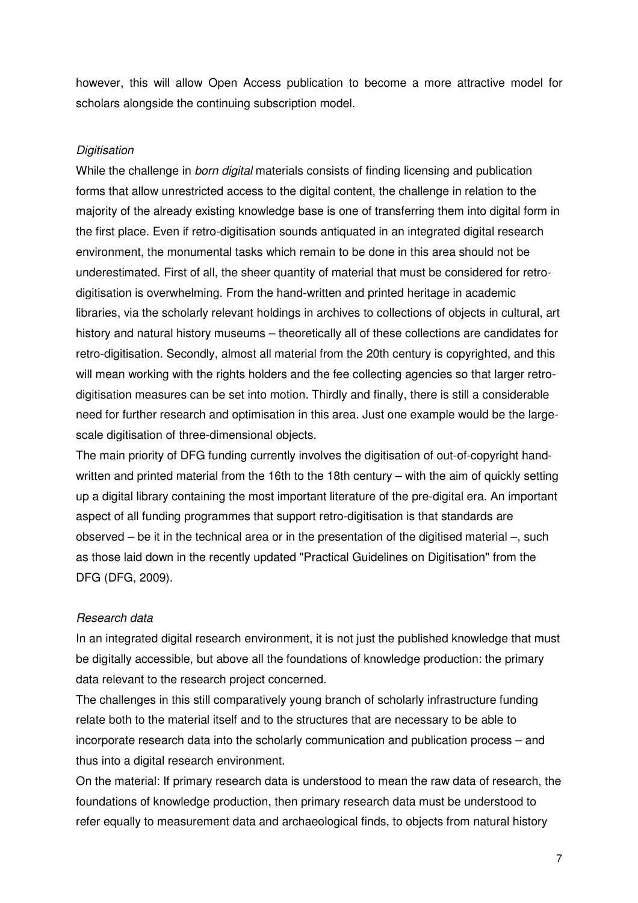however, this will allow Open Access publication to become a more attractive model for scholars alongside the continuing subscription model.

#### **Digitisation**

While the challenge in *born digital* materials consists of finding licensing and publication forms that allow unrestricted access to the digital content, the challenge in relation to the majority of the already existing knowledge base is one of transferring them into digital form in the first place. Even if retro-digitisation sounds antiquated in an integrated digital research environment, the monumental tasks which remain to be done in this area should not be underestimated. First of all, the sheer quantity of material that must be considered for retrodigitisation is overwhelming. From the hand-written and printed heritage in academic libraries, via the scholarly relevant holdings in archives to collections of objects in cultural, art history and natural history museums – theoretically all of these collections are candidates for retro-digitisation. Secondly, almost all material from the 20th century is copyrighted, and this will mean working with the rights holders and the fee collecting agencies so that larger retrodigitisation measures can be set into motion. Thirdly and finally, there is still a considerable need for further research and optimisation in this area. Just one example would be the largescale digitisation of three-dimensional objects.

The main priority of DFG funding currently involves the digitisation of out-of-copyright handwritten and printed material from the 16th to the 18th century – with the aim of quickly setting up a digital library containing the most important literature of the pre-digital era. An important aspect of all funding programmes that support retro-digitisation is that standards are observed – be it in the technical area or in the presentation of the digitised material –, such as those laid down in the recently updated "Practical Guidelines on Digitisation" from the DFG (DFG, 2009).

#### Research data

In an integrated digital research environment, it is not just the published knowledge that must be digitally accessible, but above all the foundations of knowledge production: the primary data relevant to the research project concerned.

The challenges in this still comparatively young branch of scholarly infrastructure funding relate both to the material itself and to the structures that are necessary to be able to incorporate research data into the scholarly communication and publication process – and thus into a digital research environment.

On the material: If primary research data is understood to mean the raw data of research, the foundations of knowledge production, then primary research data must be understood to refer equally to measurement data and archaeological finds, to objects from natural history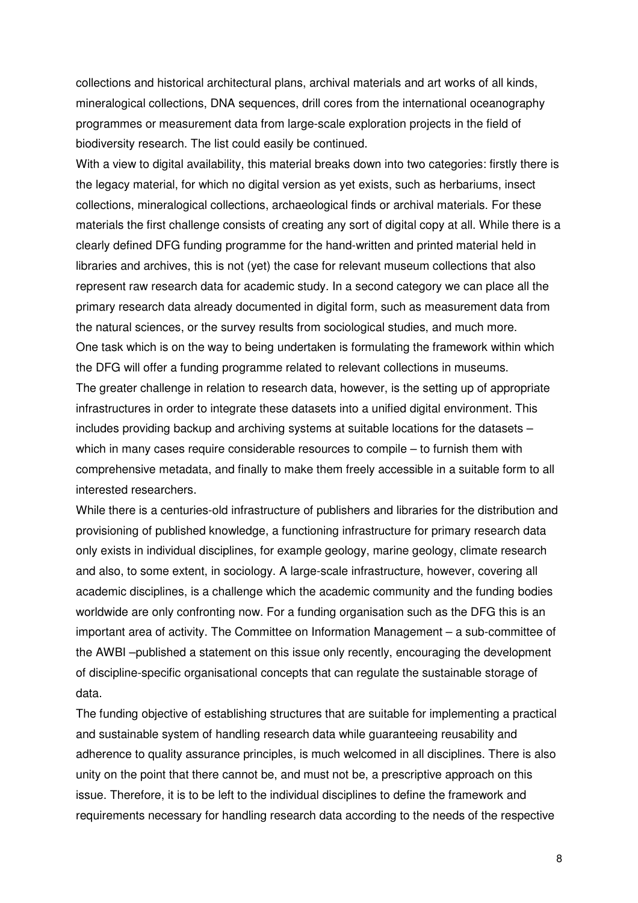collections and historical architectural plans, archival materials and art works of all kinds, mineralogical collections, DNA sequences, drill cores from the international oceanography programmes or measurement data from large-scale exploration projects in the field of biodiversity research. The list could easily be continued.

With a view to digital availability, this material breaks down into two categories: firstly there is the legacy material, for which no digital version as yet exists, such as herbariums, insect collections, mineralogical collections, archaeological finds or archival materials. For these materials the first challenge consists of creating any sort of digital copy at all. While there is a clearly defined DFG funding programme for the hand-written and printed material held in libraries and archives, this is not (yet) the case for relevant museum collections that also represent raw research data for academic study. In a second category we can place all the primary research data already documented in digital form, such as measurement data from the natural sciences, or the survey results from sociological studies, and much more. One task which is on the way to being undertaken is formulating the framework within which the DFG will offer a funding programme related to relevant collections in museums. The greater challenge in relation to research data, however, is the setting up of appropriate infrastructures in order to integrate these datasets into a unified digital environment. This includes providing backup and archiving systems at suitable locations for the datasets – which in many cases require considerable resources to compile – to furnish them with comprehensive metadata, and finally to make them freely accessible in a suitable form to all interested researchers.

While there is a centuries-old infrastructure of publishers and libraries for the distribution and provisioning of published knowledge, a functioning infrastructure for primary research data only exists in individual disciplines, for example geology, marine geology, climate research and also, to some extent, in sociology. A large-scale infrastructure, however, covering all academic disciplines, is a challenge which the academic community and the funding bodies worldwide are only confronting now. For a funding organisation such as the DFG this is an important area of activity. The Committee on Information Management – a sub-committee of the AWBI –published a statement on this issue only recently, encouraging the development of discipline-specific organisational concepts that can regulate the sustainable storage of data.

The funding objective of establishing structures that are suitable for implementing a practical and sustainable system of handling research data while guaranteeing reusability and adherence to quality assurance principles, is much welcomed in all disciplines. There is also unity on the point that there cannot be, and must not be, a prescriptive approach on this issue. Therefore, it is to be left to the individual disciplines to define the framework and requirements necessary for handling research data according to the needs of the respective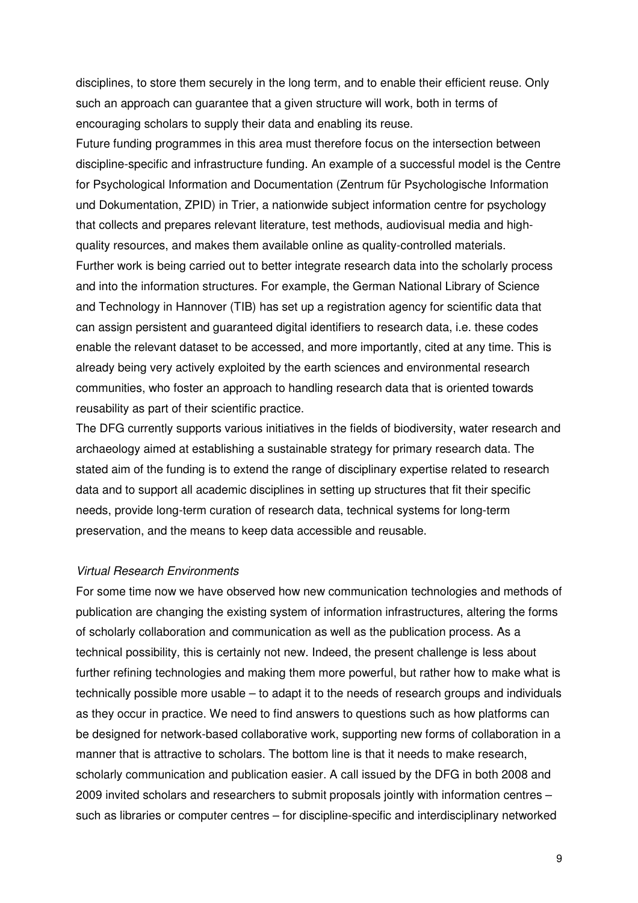disciplines, to store them securely in the long term, and to enable their efficient reuse. Only such an approach can guarantee that a given structure will work, both in terms of encouraging scholars to supply their data and enabling its reuse.

Future funding programmes in this area must therefore focus on the intersection between discipline-specific and infrastructure funding. An example of a successful model is the Centre for Psychological Information and Documentation (Zentrum für Psychologische Information und Dokumentation, ZPID) in Trier, a nationwide subject information centre for psychology that collects and prepares relevant literature, test methods, audiovisual media and highquality resources, and makes them available online as quality-controlled materials. Further work is being carried out to better integrate research data into the scholarly process and into the information structures. For example, the German National Library of Science and Technology in Hannover (TIB) has set up a registration agency for scientific data that can assign persistent and guaranteed digital identifiers to research data, i.e. these codes enable the relevant dataset to be accessed, and more importantly, cited at any time. This is already being very actively exploited by the earth sciences and environmental research communities, who foster an approach to handling research data that is oriented towards reusability as part of their scientific practice.

The DFG currently supports various initiatives in the fields of biodiversity, water research and archaeology aimed at establishing a sustainable strategy for primary research data. The stated aim of the funding is to extend the range of disciplinary expertise related to research data and to support all academic disciplines in setting up structures that fit their specific needs, provide long-term curation of research data, technical systems for long-term preservation, and the means to keep data accessible and reusable.

## Virtual Research Environments

For some time now we have observed how new communication technologies and methods of publication are changing the existing system of information infrastructures, altering the forms of scholarly collaboration and communication as well as the publication process. As a technical possibility, this is certainly not new. Indeed, the present challenge is less about further refining technologies and making them more powerful, but rather how to make what is technically possible more usable – to adapt it to the needs of research groups and individuals as they occur in practice. We need to find answers to questions such as how platforms can be designed for network-based collaborative work, supporting new forms of collaboration in a manner that is attractive to scholars. The bottom line is that it needs to make research, scholarly communication and publication easier. A call issued by the DFG in both 2008 and 2009 invited scholars and researchers to submit proposals jointly with information centres – such as libraries or computer centres – for discipline-specific and interdisciplinary networked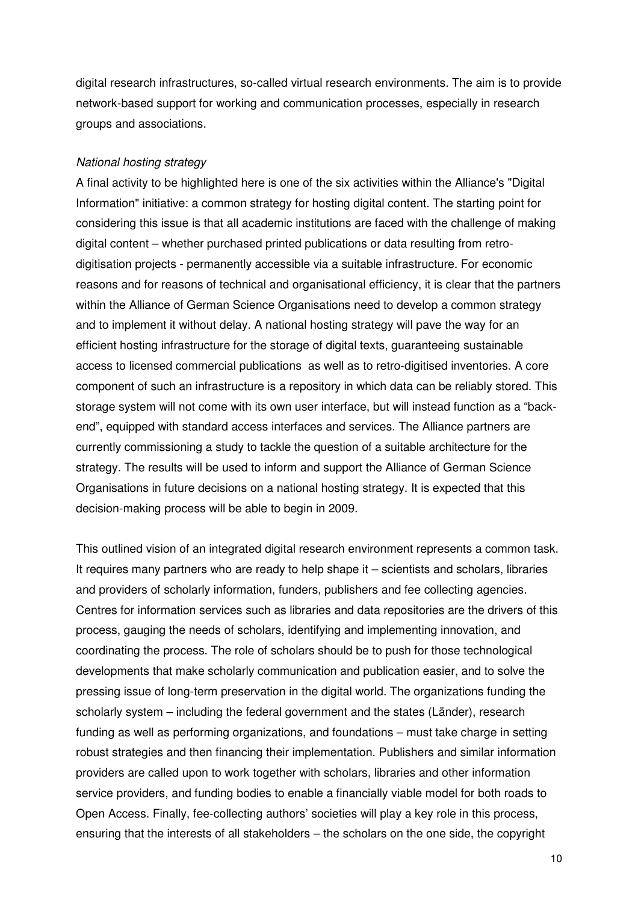digital research infrastructures, so-called virtual research environments. The aim is to provide network-based support for working and communication processes, especially in research groups and associations.

## National hosting strategy

A final activity to be highlighted here is one of the six activities within the Alliance's "Digital Information" initiative: a common strategy for hosting digital content. The starting point for considering this issue is that all academic institutions are faced with the challenge of making digital content – whether purchased printed publications or data resulting from retrodigitisation projects - permanently accessible via a suitable infrastructure. For economic reasons and for reasons of technical and organisational efficiency, it is clear that the partners within the Alliance of German Science Organisations need to develop a common strategy and to implement it without delay. A national hosting strategy will pave the way for an efficient hosting infrastructure for the storage of digital texts, guaranteeing sustainable access to licensed commercial publications as well as to retro-digitised inventories. A core component of such an infrastructure is a repository in which data can be reliably stored. This storage system will not come with its own user interface, but will instead function as a "backend", equipped with standard access interfaces and services. The Alliance partners are currently commissioning a study to tackle the question of a suitable architecture for the strategy. The results will be used to inform and support the Alliance of German Science Organisations in future decisions on a national hosting strategy. It is expected that this decision-making process will be able to begin in 2009.

This outlined vision of an integrated digital research environment represents a common task. It requires many partners who are ready to help shape it – scientists and scholars, libraries and providers of scholarly information, funders, publishers and fee collecting agencies. Centres for information services such as libraries and data repositories are the drivers of this process, gauging the needs of scholars, identifying and implementing innovation, and coordinating the process. The role of scholars should be to push for those technological developments that make scholarly communication and publication easier, and to solve the pressing issue of long-term preservation in the digital world. The organizations funding the scholarly system – including the federal government and the states (Länder), research funding as well as performing organizations, and foundations – must take charge in setting robust strategies and then financing their implementation. Publishers and similar information providers are called upon to work together with scholars, libraries and other information service providers, and funding bodies to enable a financially viable model for both roads to Open Access. Finally, fee-collecting authors' societies will play a key role in this process, ensuring that the interests of all stakeholders – the scholars on the one side, the copyright